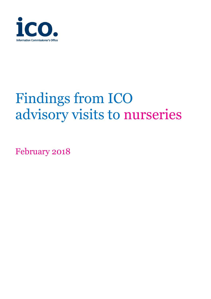

# Findings from ICO advisory visits to nurseries

February 2018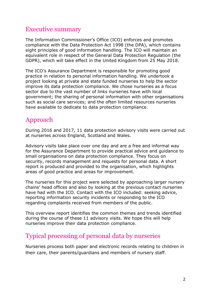#### Executive summary

The Information Commissioner's Office (ICO) enforces and promotes compliance with the Data Protection Act 1998 (the DPA), which contains eight principles of good information handling. The ICO will maintain an equivalent role in respect of the General Data Protection Regulation (the GDPR), which will take effect in the United Kingdom from 25 May 2018.

The ICO's Assurance Department is responsible for promoting good practice in relation to personal information handling. We undertook a project looking at private and state funded nurseries to help the sector improve its data protection compliance. We chose nurseries as a focus sector due to the vast number of links nurseries have with local government; the sharing of personal information with other organisations such as social care services; and the often limited resources nurseries have available to dedicate to data protection compliance.

### Approach

During 2016 and 2017, 11 data protection advisory visits were carried out at nurseries across England, Scotland and Wales.

Advisory visits take place over one day and are a free and informal way for the Assurance Department to provide practical advice and guidance to small organisations on data protection compliance. They focus on security, records management and requests for personal data. A short report is produced and provided to the organisation, which highlights areas of good practice and areas for improvement.

The nurseries for this project were selected by approaching larger nursery chains' head offices and also by looking at the previous contact nurseries have had with the ICO. Contact with the ICO included: seeking advice, reporting information security incidents or responding to the ICO regarding complaints received from members of the public.

This overview report identifies the common themes and trends identified during the course of these 11 advisory visits. We hope this will help nurseries improve their data protection compliance.

## Typical processing of personal data by nurseries

Nurseries process both paper and electronic records relating to children in their care, their parents/guardians and members of nursery staff.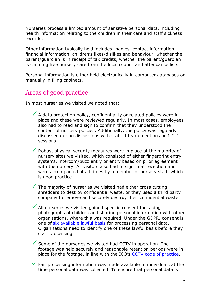Nurseries process a limited amount of sensitive personal data, including health information relating to the children in their care and staff sickness records.

Other information typically held includes: names, contact information, financial information, children's likes/dislikes and behaviour, whether the parent/guardian is in receipt of tax credits, whether the parent/guardian is claiming free nursery care from the local council and attendance lists.

Personal information is either held electronically in computer databases or manually in filing cabinets.

# Areas of good practice

In most nurseries we visited we noted that:

- $\checkmark$  A data protection policy, confidentiality or related policies were in place and these were reviewed regularly. In most cases, employees also had to read and sign to confirm that they understood the content of nursery policies. Additionally, the policy was regularly discussed during discussions with staff at team meetings or 1-2-1 sessions.
- $\checkmark$  Robust physical security measures were in place at the majority of nursery sites we visited, which consisted of either fingerprint entry systems, intercom/buzz entry or entry based on prior agreement with the nursery. All visitors also had to sign in at reception and were accompanied at all times by a member of nursery staff, which is good practice.
- $\checkmark$  The majority of nurseries we visited had either cross cutting shredders to destroy confidential waste, or they used a third party company to remove and securely destroy their confidential waste.
- $\checkmark$  All nurseries we visited gained specific consent for taking photographs of children and sharing personal information with other organisations, where this was required. Under the GDPR, consent is one of [six available lawful basis](https://ico.org.uk/for-organisations/guide-to-the-general-data-protection-regulation-gdpr/lawful-basis-for-processing/) for processing personal data. Organisations need to identify one of these lawful basis before they start processing.
- $\checkmark$  Some of the nurseries we visited had CCTV in operation. The footage was held securely and reasonable retention periods were in place for the footage, in line with the ICO's [CCTV code of practice.](https://ico.org.uk/media/for-organisations/documents/1542/cctv-code-of-practice.pdf)
- $\checkmark$  Fair processing information was made available to individuals at the time personal data was collected. To ensure that personal data is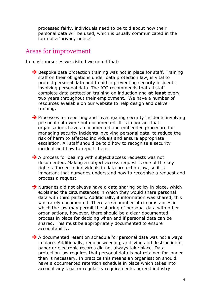processed fairly, individuals need to be told about how their personal data will be used, which is usually communicated in the form of a 'privacy notice'.

#### Areas for improvement

In most nurseries we visited we noted that:

- $\rightarrow$  Bespoke data protection training was not in place for staff. Training staff on their obligations under data protection law, is vital to protect personal data and to aid in preventing security incidents involving personal data. The ICO recommends that all staff complete data protection training on induction and **at least** every two years throughout their employment. We have a number of resources available on our website to help design and deliver training.
- $\rightarrow$  Processes for reporting and investigating security incidents involving personal data were not documented. It is important that organisations have a documented and embedded procedure for managing security incidents involving personal data, to reduce the risk of harm to affected individuals and ensure appropriate escalation. All staff should be told how to recognise a security incident and how to report them.
- $\rightarrow$  A process for dealing with subject access requests was not documented. Making a subject access request is one of the key rights afforded to individuals in data protection law, so it is important that nurseries understand how to recognise a request and process a request.
- $\rightarrow$  Nurseries did not always have a data sharing policy in place, which explained the circumstances in which they would share personal data with third parties. Additionally, if information was shared, this was rarely documented. There are a number of circumstances in which the law may permit the sharing of personal data with other organisations, however, there should be a clear documented process in place for deciding when and if personal data can be shared. This must be appropriately documented to ensure accountability.
- $\rightarrow$  A documented retention schedule for personal data was not always in place. Additionally, regular weeding, archiving and destruction of paper or electronic records did not always take place. Data protection law requires that personal data is not retained for longer than is necessary. In practice this means an organisation should have a documented retention schedule in place which takes into account any legal or regularity requirements, agreed industry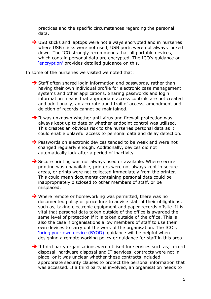practices and the specific circumstances regarding the personal data.

→ USB sticks and laptops were not always encrypted and in nurseries where USB sticks were not used, USB ports were not always locked down. The ICO strongly recommends that all portable devices, which contain personal data are encrypted. The ICO's guidance on ['encryption'](https://ico.org.uk/for-organisations/guide-to-data-protection/encryption/) provides detailed guidance on this.

In some of the nurseries we visited we noted that:

 $\rightarrow$  Staff often shared login information and passwords, rather than having their own individual profile for electronic case management systems and other applications. Sharing passwords and login information means that appropriate access controls are not created and additionally, an accurate audit trail of access, amendment and deletion of records cannot be maintained.

 $\rightarrow$  It was unknown whether anti-virus and firewall protection was always kept up to date or whether endpoint control was utilised. This creates an obvious risk to the nurseries personal data as it could enable unlawful access to personal data and delay detection.

 $\rightarrow$  Passwords on electronic devices tended to be weak and were not changed regularly enough. Additionally, devices did not automatically lock after a period of inactivity.

Secure printing was not always used or available. Where secure printing was unavailable, printers were not always kept in secure areas, or prints were not collected immediately from the printer. This could mean documents containing personal data could be inappropriately disclosed to other members of staff, or be misplaced.

 $\rightarrow$  Where remote or homeworking was permitted, there was no documented policy or procedure to advise staff of their obligations, such as, taking electronic equipment and paper records offsite. It is vital that personal data taken outside of the office is awarded the same level of protection if it is taken outside of the office. This is also the case if organisations allow members of staff to use their own devices to carry out the work of the organisation. The ICO's ['bring your own device \(BYOD\)'](https://ico.org.uk/media/for-organisations/documents/1563/ico_bring_your_own_device_byod_guidance.pdf) guidance will be helpful when designing a remote working policy or guidance for staff in this area.

 $\rightarrow$  If third party organisations were utilised for services such as; record disposal, hardware disposal and IT services, contracts were not in place, or it was unclear whether these contracts included appropriate security clauses to protect the personal information that was accessed. If a third party is involved, an organisation needs to